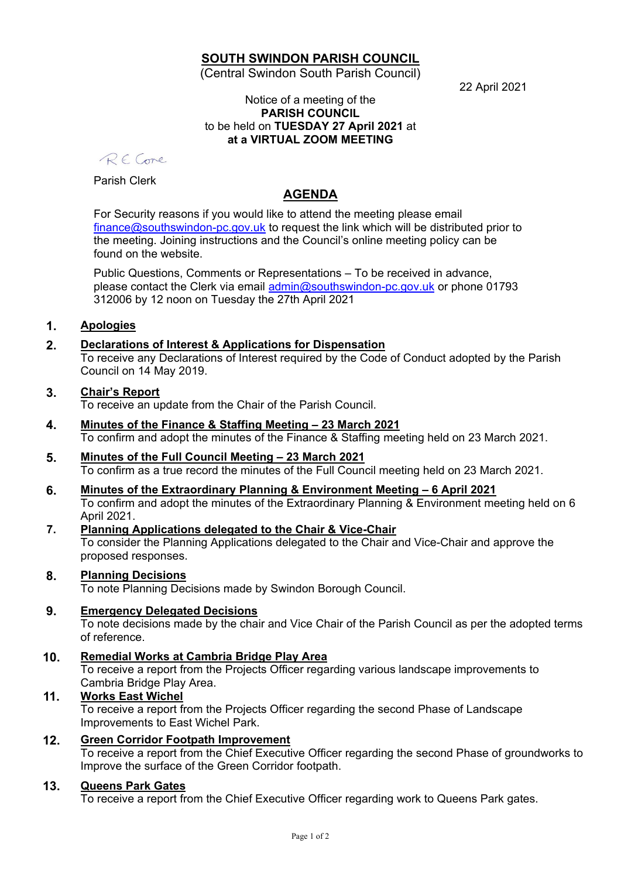# **SOUTH SWINDON PARISH COUNCIL**

(Central Swindon South Parish Council)

22 April 2021

#### Notice of a meeting of the **PARISH COUNCIL** to be held on **TUESDAY 27 April 2021** at **at a VIRTUAL ZOOM MEETING**

RECore

Parish Clerk

# **AGENDA**

For Security reasons if you would like to attend the meeting please email [finance@southswindon-pc.gov.uk](mailto:finance@southswindon-pc.gov.uk) to request the link which will be distributed prior to the meeting. Joining instructions and the Council's online meeting policy can be found on the website.

Public Questions, Comments or Representations – To be received in advance, please contact the Clerk via email [admin@southswindon-pc.gov.uk](mailto:admin@southswindon-pc.gov.uk) or phone 01793 312006 by 12 noon on Tuesday the 27th April 2021

# **1. Apologies**

# **2. Declarations of Interest & Applications for Dispensation**

To receive any Declarations of Interest required by the Code of Conduct adopted by the Parish Council on 14 May 2019.

## **3. Chair's Report**

To receive an update from the Chair of the Parish Council.

- **4. Minutes of the Finance & Staffing Meeting – 23 March 2021** To confirm and adopt the minutes of the Finance & Staffing meeting held on 23 March 2021.
- **5. Minutes of the Full Council Meeting – 23 March 2021** To confirm as a true record the minutes of the Full Council meeting held on 23 March 2021.
- **6. Minutes of the Extraordinary Planning & Environment Meeting – 6 April 2021** To confirm and adopt the minutes of the Extraordinary Planning & Environment meeting held on 6 April 2021.
- **7. Planning Applications delegated to the Chair & Vice-Chair** To consider the Planning Applications delegated to the Chair and Vice-Chair and approve the proposed responses.

## **8. Planning Decisions**

To note Planning Decisions made by Swindon Borough Council.

## **9. Emergency Delegated Decisions**

To note decisions made by the chair and Vice Chair of the Parish Council as per the adopted terms of reference.

**10. Remedial Works at Cambria Bridge Play Area**

To receive a report from the Projects Officer regarding various landscape improvements to Cambria Bridge Play Area.

## **11. Works East Wichel**

To receive a report from the Projects Officer regarding the second Phase of Landscape Improvements to East Wichel Park.

## **12. Green Corridor Footpath Improvement**

To receive a report from the Chief Executive Officer regarding the second Phase of groundworks to Improve the surface of the Green Corridor footpath.

## **13. Queens Park Gates**

To receive a report from the Chief Executive Officer regarding work to Queens Park gates.